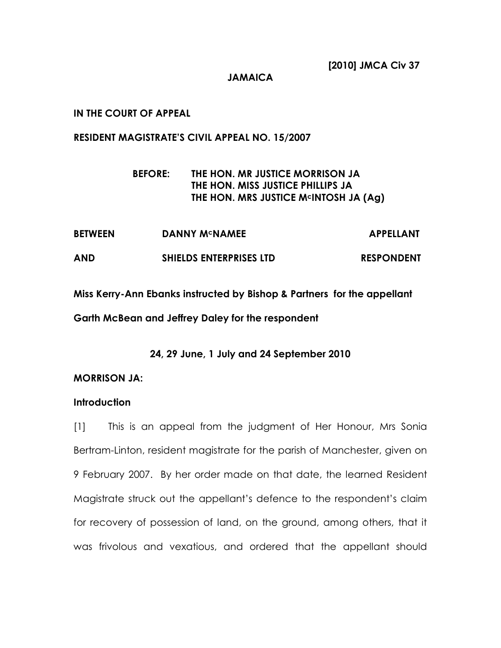JAMAICA

### IN THE COURT OF APPEAL

#### RESIDENT MAGISTRATE'S CIVIL APPEAL NO. 15/2007

## BEFORE: THE HON. MR JUSTICE MORRISON JA THE HON. MISS JUSTICE PHILLIPS JA THE HON. MRS JUSTICE MCINTOSH JA (Ag)

| <b>BETWEEN</b> | <b>DANNY M<sup>c</sup>NAMEE</b> | <b>APPELLANT</b>  |
|----------------|---------------------------------|-------------------|
| <b>AND</b>     | <b>SHIELDS ENTERPRISES LTD</b>  | <b>RESPONDENT</b> |

Miss Kerry-Ann Ebanks instructed by Bishop & Partners for the appellant Garth McBean and Jeffrey Daley for the respondent

24, 29 June, 1 July and 24 September 2010

### MORRISON JA:

### **Introduction**

[1] This is an appeal from the judgment of Her Honour, Mrs Sonia Bertram-Linton, resident magistrate for the parish of Manchester, given on 9 February 2007. By her order made on that date, the learned Resident Magistrate struck out the appellant's defence to the respondent's claim for recovery of possession of land, on the ground, among others, that it was frivolous and vexatious, and ordered that the appellant should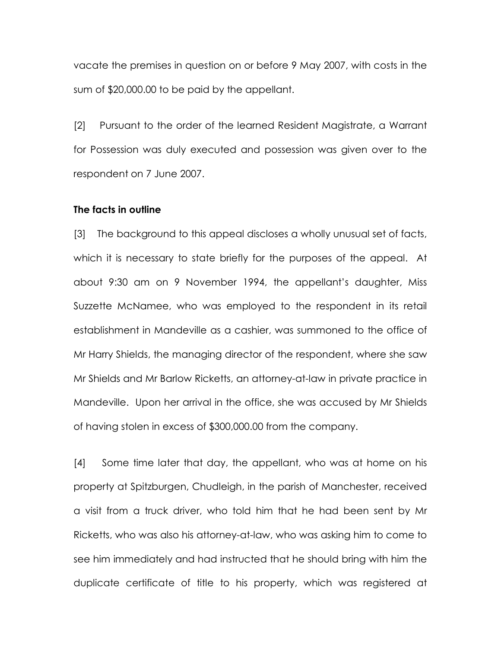vacate the premises in question on or before 9 May 2007, with costs in the sum of \$20,000.00 to be paid by the appellant.

[2] Pursuant to the order of the learned Resident Magistrate, a Warrant for Possession was duly executed and possession was given over to the respondent on 7 June 2007.

#### The facts in outline

[3] The background to this appeal discloses a wholly unusual set of facts, which it is necessary to state briefly for the purposes of the appeal. At about 9:30 am on 9 November 1994, the appellant's daughter, Miss Suzzette McNamee, who was employed to the respondent in its retail establishment in Mandeville as a cashier, was summoned to the office of Mr Harry Shields, the managing director of the respondent, where she saw Mr Shields and Mr Barlow Ricketts, an attorney-at-law in private practice in Mandeville. Upon her arrival in the office, she was accused by Mr Shields of having stolen in excess of \$300,000.00 from the company.

[4] Some time later that day, the appellant, who was at home on his property at Spitzburgen, Chudleigh, in the parish of Manchester, received a visit from a truck driver, who told him that he had been sent by Mr Ricketts, who was also his attorney-at-law, who was asking him to come to see him immediately and had instructed that he should bring with him the duplicate certificate of title to his property, which was registered at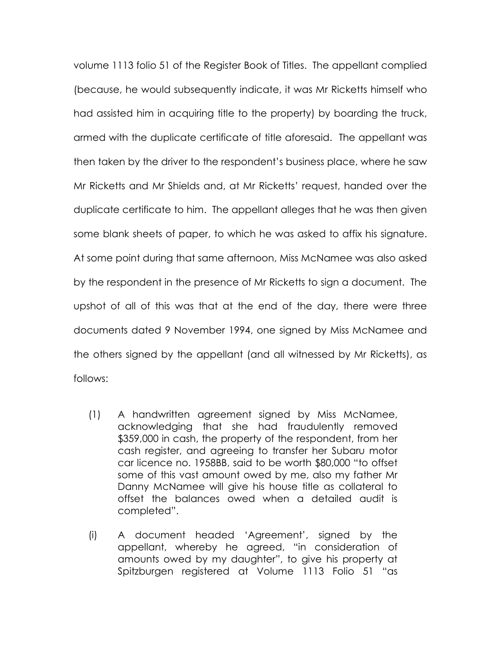volume 1113 folio 51 of the Register Book of Titles. The appellant complied (because, he would subsequently indicate, it was Mr Ricketts himself who had assisted him in acquiring title to the property) by boarding the truck, armed with the duplicate certificate of title aforesaid. The appellant was then taken by the driver to the respondent's business place, where he saw Mr Ricketts and Mr Shields and, at Mr Ricketts' request, handed over the duplicate certificate to him. The appellant alleges that he was then given some blank sheets of paper, to which he was asked to affix his signature. At some point during that same afternoon, Miss McNamee was also asked by the respondent in the presence of Mr Ricketts to sign a document. The upshot of all of this was that at the end of the day, there were three documents dated 9 November 1994, one signed by Miss McNamee and the others signed by the appellant (and all witnessed by Mr Ricketts), as follows:

- (1) A handwritten agreement signed by Miss McNamee, acknowledging that she had fraudulently removed \$359,000 in cash, the property of the respondent, from her cash register, and agreeing to transfer her Subaru motor car licence no. 1958BB, said to be worth \$80,000 "to offset some of this vast amount owed by me, also my father Mr Danny McNamee will give his house title as collateral to offset the balances owed when a detailed audit is completed".
- (i) A document headed 'Agreement', signed by the appellant, whereby he agreed, "in consideration of amounts owed by my daughter", to give his property at Spitzburgen registered at Volume 1113 Folio 51 "as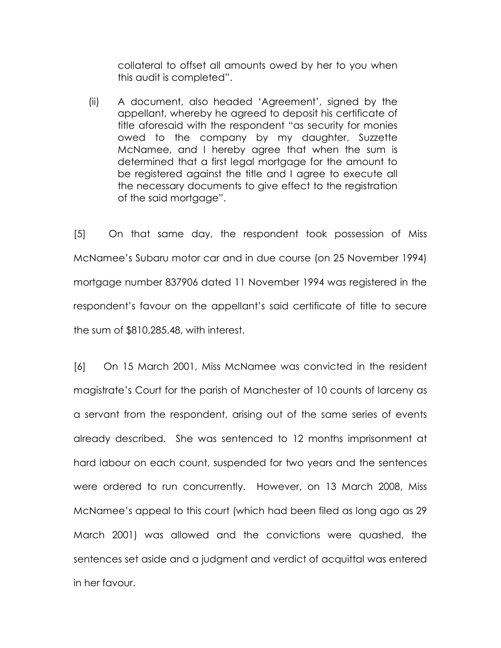collateral to offset all amounts owed by her to you when this audit is completed".

(ii) A document, also headed 'Agreement', signed by the appellant, whereby he agreed to deposit his certificate of title aforesaid with the respondent "as security for monies owed to the company by my daughter, Suzzette McNamee, and I hereby agree that when the sum is determined that a first legal mortgage for the amount to be registered against the title and I agree to execute all the necessary documents to give effect to the registration of the said mortgage".

[5] On that same day, the respondent took possession of Miss McNamee's Subaru motor car and in due course (on 25 November 1994) mortgage number 837906 dated 11 November 1994 was registered in the respondent's favour on the appellant's said certificate of title to secure the sum of \$810,285.48, with interest.

[6] On 15 March 2001, Miss McNamee was convicted in the resident magistrate's Court for the parish of Manchester of 10 counts of larceny as a servant from the respondent, arising out of the same series of events already described. She was sentenced to 12 months imprisonment at hard labour on each count, suspended for two years and the sentences were ordered to run concurrently. However, on 13 March 2008, Miss McNamee's appeal to this court (which had been filed as long ago as 29 March 2001) was allowed and the convictions were quashed, the sentences set aside and a judgment and verdict of acquittal was entered in her favour.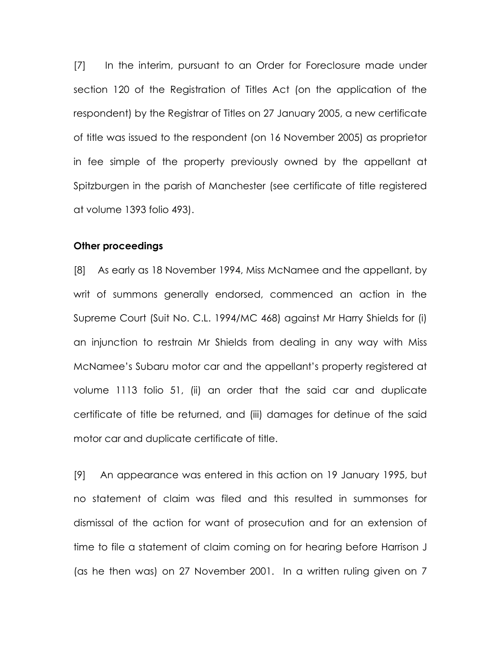[7] In the interim, pursuant to an Order for Foreclosure made under section 120 of the Registration of Titles Act (on the application of the respondent) by the Registrar of Titles on 27 January 2005, a new certificate of title was issued to the respondent (on 16 November 2005) as proprietor in fee simple of the property previously owned by the appellant at Spitzburgen in the parish of Manchester (see certificate of title registered at volume 1393 folio 493).

#### Other proceedings

[8] As early as 18 November 1994, Miss McNamee and the appellant, by writ of summons generally endorsed, commenced an action in the Supreme Court (Suit No. C.L. 1994/MC 468) against Mr Harry Shields for (i) an injunction to restrain Mr Shields from dealing in any way with Miss McNamee's Subaru motor car and the appellant's property registered at volume 1113 folio 51, (ii) an order that the said car and duplicate certificate of title be returned, and (iii) damages for detinue of the said motor car and duplicate certificate of title.

[9] An appearance was entered in this action on 19 January 1995, but no statement of claim was filed and this resulted in summonses for dismissal of the action for want of prosecution and for an extension of time to file a statement of claim coming on for hearing before Harrison J (as he then was) on 27 November 2001. In a written ruling given on 7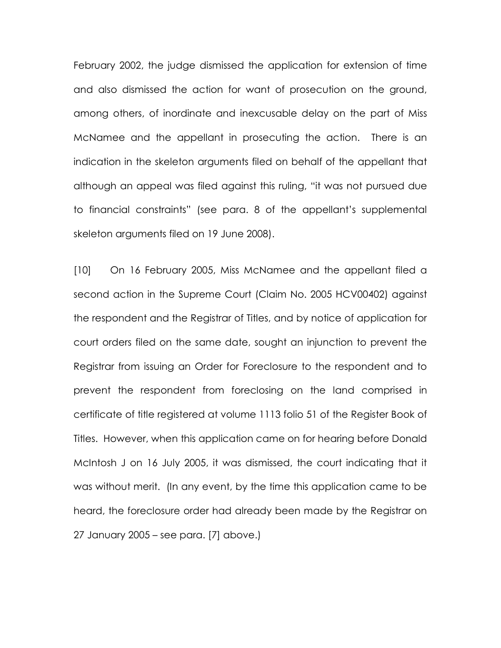February 2002, the judge dismissed the application for extension of time and also dismissed the action for want of prosecution on the ground, among others, of inordinate and inexcusable delay on the part of Miss McNamee and the appellant in prosecuting the action. There is an indication in the skeleton arguments filed on behalf of the appellant that although an appeal was filed against this ruling, "it was not pursued due to financial constraints" (see para. 8 of the appellant's supplemental skeleton arguments filed on 19 June 2008).

[10] On 16 February 2005, Miss McNamee and the appellant filed a second action in the Supreme Court (Claim No. 2005 HCV00402) against the respondent and the Registrar of Titles, and by notice of application for court orders filed on the same date, sought an injunction to prevent the Registrar from issuing an Order for Foreclosure to the respondent and to prevent the respondent from foreclosing on the land comprised in certificate of title registered at volume 1113 folio 51 of the Register Book of Titles. However, when this application came on for hearing before Donald McIntosh J on 16 July 2005, it was dismissed, the court indicating that it was without merit. (In any event, by the time this application came to be heard, the foreclosure order had already been made by the Registrar on 27 January 2005 – see para. [7] above.)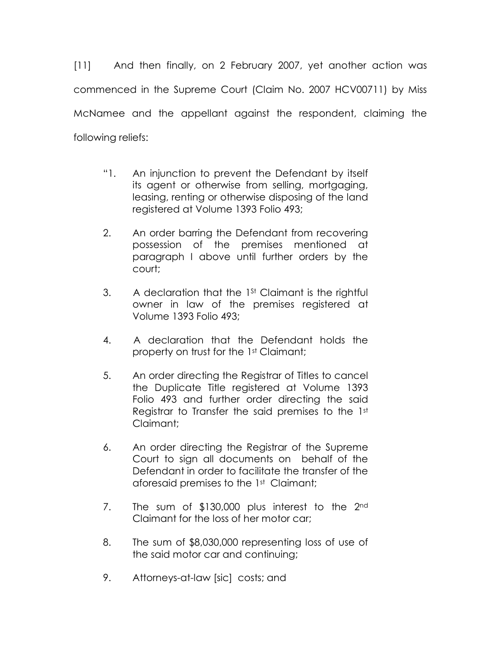[11] And then finally, on 2 February 2007, yet another action was commenced in the Supreme Court (Claim No. 2007 HCV00711) by Miss McNamee and the appellant against the respondent, claiming the following reliefs:

- "1. An injunction to prevent the Defendant by itself its agent or otherwise from selling, mortgaging, leasing, renting or otherwise disposing of the land registered at Volume 1393 Folio 493;
- 2. An order barring the Defendant from recovering possession of the premises mentioned at paragraph I above until further orders by the court;
- 3. A declaration that the 1<sup>st</sup> Claimant is the rightful owner in law of the premises registered at Volume 1393 Folio 493;
- 4. A declaration that the Defendant holds the property on trust for the 1st Claimant;
- 5. An order directing the Registrar of Titles to cancel the Duplicate Title registered at Volume 1393 Folio 493 and further order directing the said Registrar to Transfer the said premises to the 1st Claimant;
- 6. An order directing the Registrar of the Supreme Court to sign all documents on behalf of the Defendant in order to facilitate the transfer of the aforesaid premises to the 1st Claimant;
- 7. The sum of \$130,000 plus interest to the 2nd Claimant for the loss of her motor car;
- 8. The sum of \$8,030,000 representing loss of use of the said motor car and continuing;
- 9. Attorneys-at-law [sic] costs; and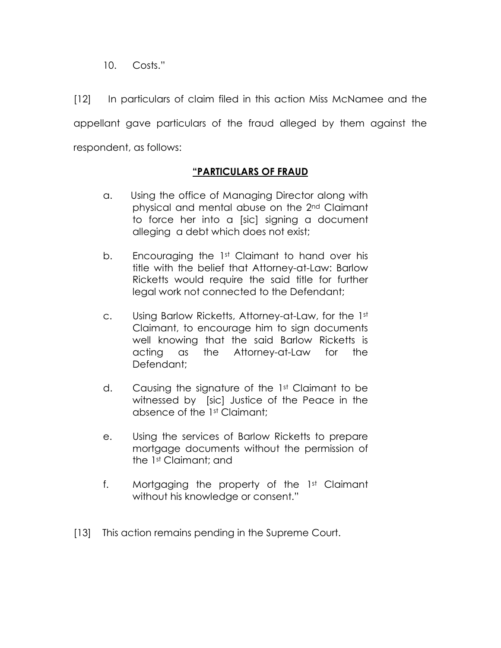10. Costs."

[12] In particulars of claim filed in this action Miss McNamee and the appellant gave particulars of the fraud alleged by them against the respondent, as follows:

# "PARTICULARS OF FRAUD

- a. Using the office of Managing Director along with physical and mental abuse on the 2nd Claimant to force her into a [sic] signing a document alleging a debt which does not exist;
- b. Encouraging the 1<sup>st</sup> Claimant to hand over his title with the belief that Attorney-at-Law: Barlow Ricketts would require the said title for further legal work not connected to the Defendant;
- c. Using Barlow Ricketts, Attorney-at-Law, for the 1st Claimant, to encourage him to sign documents well knowing that the said Barlow Ricketts is acting as the Attorney-at-Law for the Defendant;
- d. Causing the signature of the 1st Claimant to be witnessed by [sic] Justice of the Peace in the absence of the 1st Claimant;
- e. Using the services of Barlow Ricketts to prepare mortgage documents without the permission of the 1st Claimant; and
- f. Mortgaging the property of the 1st Claimant without his knowledge or consent."
- [13] This action remains pending in the Supreme Court.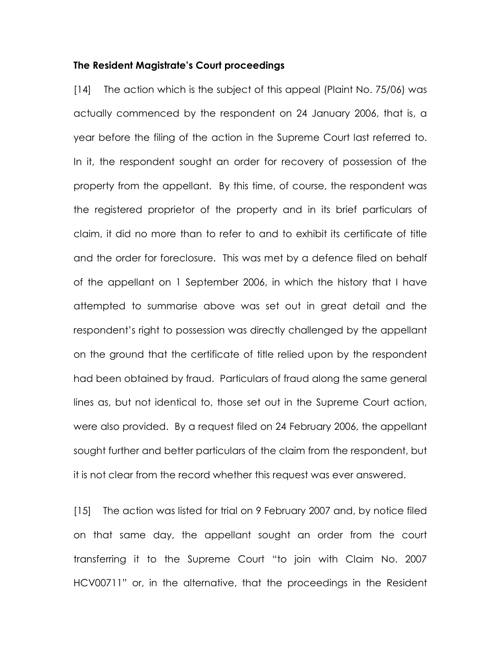#### The Resident Magistrate's Court proceedings

[14] The action which is the subject of this appeal (Plaint No. 75/06) was actually commenced by the respondent on 24 January 2006, that is, a year before the filing of the action in the Supreme Court last referred to. In it, the respondent sought an order for recovery of possession of the property from the appellant. By this time, of course, the respondent was the registered proprietor of the property and in its brief particulars of claim, it did no more than to refer to and to exhibit its certificate of title and the order for foreclosure. This was met by a defence filed on behalf of the appellant on 1 September 2006, in which the history that I have attempted to summarise above was set out in great detail and the respondent's right to possession was directly challenged by the appellant on the ground that the certificate of title relied upon by the respondent had been obtained by fraud. Particulars of fraud along the same general lines as, but not identical to, those set out in the Supreme Court action, were also provided. By a request filed on 24 February 2006, the appellant sought further and better particulars of the claim from the respondent, but it is not clear from the record whether this request was ever answered.

[15] The action was listed for trial on 9 February 2007 and, by notice filed on that same day, the appellant sought an order from the court transferring it to the Supreme Court "to join with Claim No. 2007 HCV00711" or, in the alternative, that the proceedings in the Resident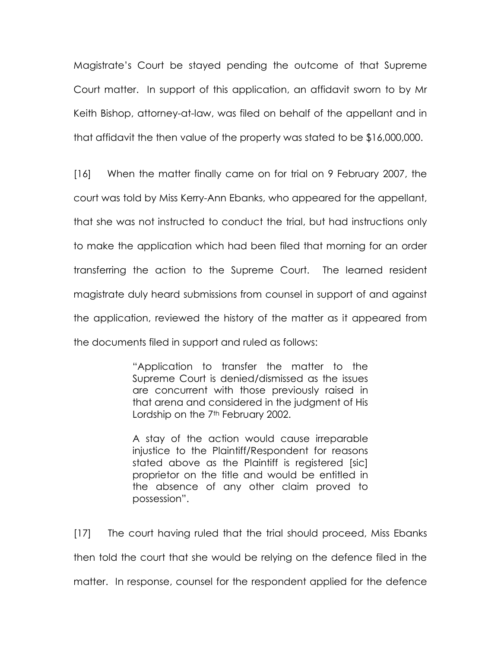Magistrate's Court be stayed pending the outcome of that Supreme Court matter. In support of this application, an affidavit sworn to by Mr Keith Bishop, attorney-at-law, was filed on behalf of the appellant and in that affidavit the then value of the property was stated to be \$16,000,000.

[16] When the matter finally came on for trial on 9 February 2007, the court was told by Miss Kerry-Ann Ebanks, who appeared for the appellant, that she was not instructed to conduct the trial, but had instructions only to make the application which had been filed that morning for an order transferring the action to the Supreme Court. The learned resident magistrate duly heard submissions from counsel in support of and against the application, reviewed the history of the matter as it appeared from the documents filed in support and ruled as follows:

> "Application to transfer the matter to the Supreme Court is denied/dismissed as the issues are concurrent with those previously raised in that arena and considered in the judgment of His Lordship on the 7<sup>th</sup> February 2002.

> A stay of the action would cause irreparable injustice to the Plaintiff/Respondent for reasons stated above as the Plaintiff is registered [sic] proprietor on the title and would be entitled in the absence of any other claim proved to possession".

[17] The court having ruled that the trial should proceed, Miss Ebanks then told the court that she would be relying on the defence filed in the matter. In response, counsel for the respondent applied for the defence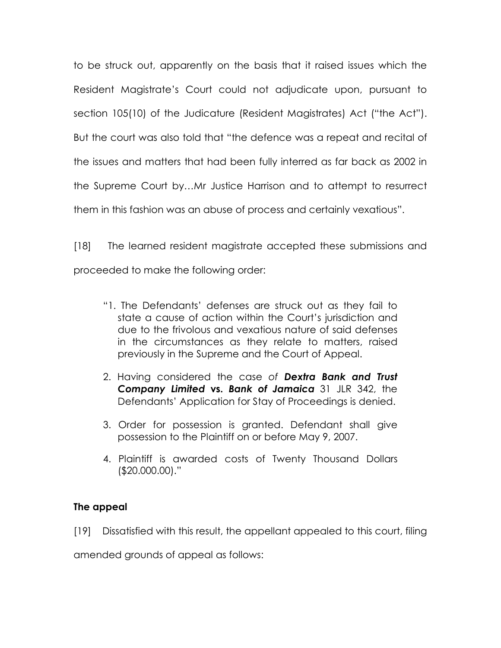to be struck out, apparently on the basis that it raised issues which the Resident Magistrate's Court could not adjudicate upon, pursuant to section 105(10) of the Judicature (Resident Magistrates) Act ("the Act"). But the court was also told that "the defence was a repeat and recital of the issues and matters that had been fully interred as far back as 2002 in the Supreme Court by…Mr Justice Harrison and to attempt to resurrect them in this fashion was an abuse of process and certainly vexatious".

[18] The learned resident magistrate accepted these submissions and proceeded to make the following order:

- "1. The Defendants' defenses are struck out as they fail to state a cause of action within the Court's jurisdiction and due to the frivolous and vexatious nature of said defenses in the circumstances as they relate to matters, raised previously in the Supreme and the Court of Appeal.
- 2. Having considered the case of **Dextra Bank and Trust** Company Limited vs. Bank of Jamaica 31 JLR 342, the Defendants' Application for Stay of Proceedings is denied.
- 3. Order for possession is granted. Defendant shall give possession to the Plaintiff on or before May 9, 2007.
- 4. Plaintiff is awarded costs of Twenty Thousand Dollars (\$20.000.00)."

## The appeal

[19] Dissatisfied with this result, the appellant appealed to this court, filing

amended grounds of appeal as follows: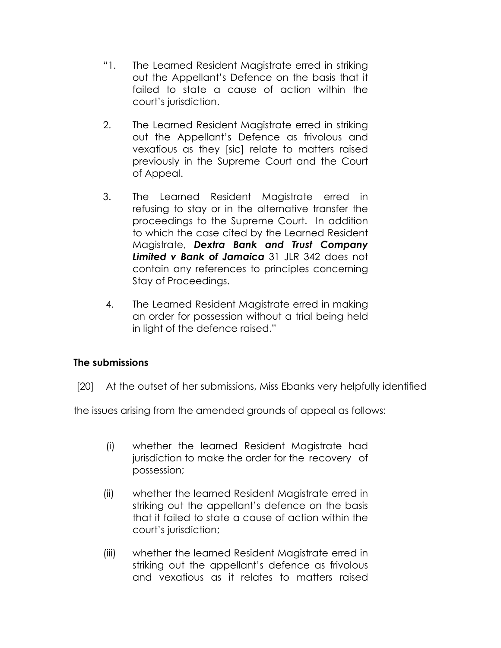- "1. The Learned Resident Magistrate erred in striking out the Appellant's Defence on the basis that it failed to state a cause of action within the court's jurisdiction.
- 2. The Learned Resident Magistrate erred in striking out the Appellant's Defence as frivolous and vexatious as they [sic] relate to matters raised previously in the Supreme Court and the Court of Appeal.
- 3. The Learned Resident Magistrate erred in refusing to stay or in the alternative transfer the proceedings to the Supreme Court. In addition to which the case cited by the Learned Resident Magistrate, Dextra Bank and Trust Company Limited v Bank of Jamaica 31 JLR 342 does not contain any references to principles concerning Stay of Proceedings.
- 4. The Learned Resident Magistrate erred in making an order for possession without a trial being held in light of the defence raised."

## The submissions

[20] At the outset of her submissions, Miss Ebanks very helpfully identified

the issues arising from the amended grounds of appeal as follows:

- (i) whether the learned Resident Magistrate had jurisdiction to make the order for the recovery of possession;
- (ii) whether the learned Resident Magistrate erred in striking out the appellant's defence on the basis that it failed to state a cause of action within the court's jurisdiction;
- (iii) whether the learned Resident Magistrate erred in striking out the appellant's defence as frivolous and vexatious as it relates to matters raised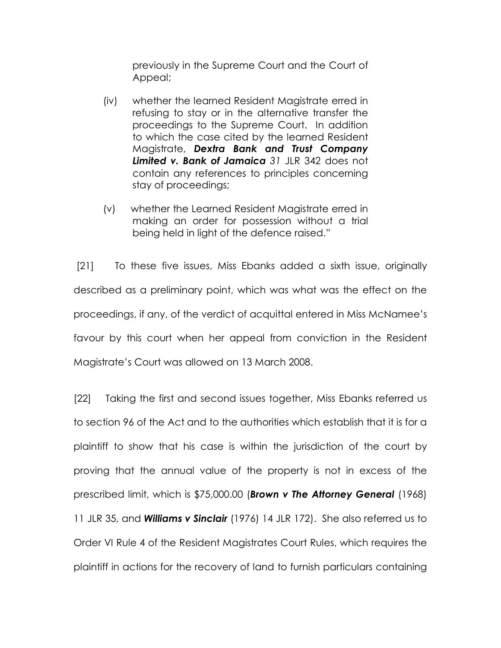previously in the Supreme Court and the Court of Appeal;

- (iv) whether the learned Resident Magistrate erred in refusing to stay or in the alternative transfer the proceedings to the Supreme Court. In addition to which the case cited by the learned Resident Magistrate, Dextra Bank and Trust Company Limited v. Bank of Jamaica 31 JLR 342 does not contain any references to principles concerning stay of proceedings;
- (v) whether the Learned Resident Magistrate erred in making an order for possession without a trial being held in light of the defence raised."

 [21] To these five issues, Miss Ebanks added a sixth issue, originally described as a preliminary point, which was what was the effect on the proceedings, if any, of the verdict of acquittal entered in Miss McNamee's favour by this court when her appeal from conviction in the Resident Magistrate's Court was allowed on 13 March 2008.

[22] Taking the first and second issues together, Miss Ebanks referred us to section 96 of the Act and to the authorities which establish that it is for a plaintiff to show that his case is within the jurisdiction of the court by proving that the annual value of the property is not in excess of the prescribed limit, which is \$75,000.00 (Brown v The Attorney General (1968) 11 JLR 35, and **Williams v Sinclair** (1976) 14 JLR 172). She also referred us to Order VI Rule 4 of the Resident Magistrates Court Rules, which requires the plaintiff in actions for the recovery of land to furnish particulars containing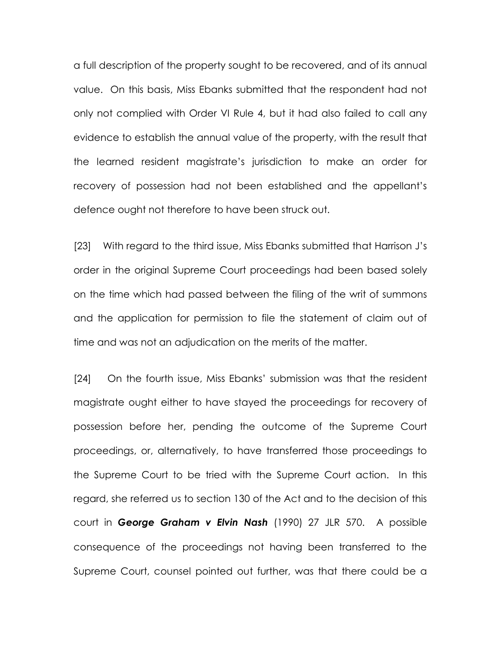a full description of the property sought to be recovered, and of its annual value. On this basis, Miss Ebanks submitted that the respondent had not only not complied with Order VI Rule 4, but it had also failed to call any evidence to establish the annual value of the property, with the result that the learned resident magistrate's jurisdiction to make an order for recovery of possession had not been established and the appellant's defence ought not therefore to have been struck out.

[23] With regard to the third issue, Miss Ebanks submitted that Harrison J's order in the original Supreme Court proceedings had been based solely on the time which had passed between the filing of the writ of summons and the application for permission to file the statement of claim out of time and was not an adjudication on the merits of the matter.

[24] On the fourth issue, Miss Ebanks' submission was that the resident magistrate ought either to have stayed the proceedings for recovery of possession before her, pending the outcome of the Supreme Court proceedings, or, alternatively, to have transferred those proceedings to the Supreme Court to be tried with the Supreme Court action. In this regard, she referred us to section 130 of the Act and to the decision of this court in George Graham v Elvin Nash (1990) 27 JLR 570. A possible consequence of the proceedings not having been transferred to the Supreme Court, counsel pointed out further, was that there could be a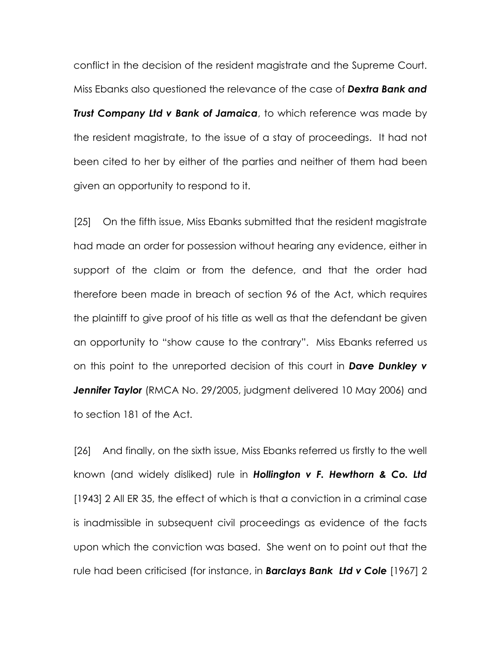conflict in the decision of the resident magistrate and the Supreme Court. Miss Ebanks also questioned the relevance of the case of **Dextra Bank and** Trust Company Ltd v Bank of Jamaica, to which reference was made by the resident magistrate, to the issue of a stay of proceedings. It had not been cited to her by either of the parties and neither of them had been given an opportunity to respond to it.

[25] On the fifth issue, Miss Ebanks submitted that the resident magistrate had made an order for possession without hearing any evidence, either in support of the claim or from the defence, and that the order had therefore been made in breach of section 96 of the Act, which requires the plaintiff to give proof of his title as well as that the defendant be given an opportunity to "show cause to the contrary". Miss Ebanks referred us on this point to the unreported decision of this court in Dave Dunkley v **Jennifer Taylor** (RMCA No. 29/2005, judgment delivered 10 May 2006) and to section 181 of the Act.

[26] And finally, on the sixth issue, Miss Ebanks referred us firstly to the well known (and widely disliked) rule in **Hollington v F. Hewthorn & Co. Ltd** [1943] 2 All ER 35, the effect of which is that a conviction in a criminal case is inadmissible in subsequent civil proceedings as evidence of the facts upon which the conviction was based. She went on to point out that the rule had been criticised (for instance, in **Barclays Bank Ltd v Cole** [1967] 2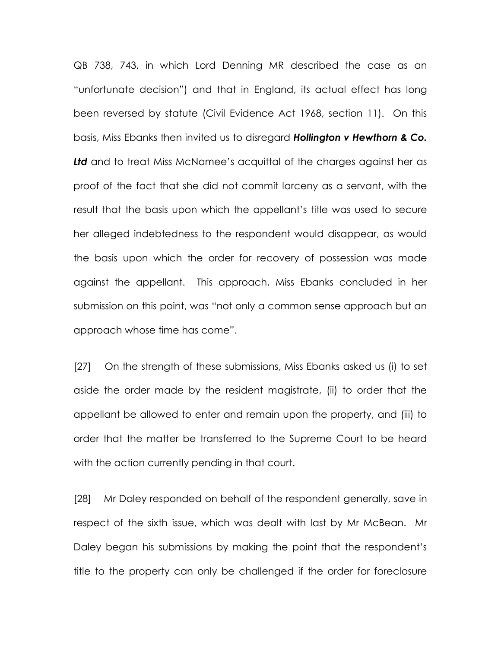QB 738, 743, in which Lord Denning MR described the case as an "unfortunate decision") and that in England, its actual effect has long been reversed by statute (Civil Evidence Act 1968, section 11). On this basis, Miss Ebanks then invited us to disregard **Hollington v Hewthorn & Co.** Ltd and to treat Miss McNamee's acquittal of the charges against her as proof of the fact that she did not commit larceny as a servant, with the result that the basis upon which the appellant's title was used to secure her alleged indebtedness to the respondent would disappear, as would the basis upon which the order for recovery of possession was made against the appellant. This approach, Miss Ebanks concluded in her submission on this point, was "not only a common sense approach but an approach whose time has come".

[27] On the strength of these submissions, Miss Ebanks asked us (i) to set aside the order made by the resident magistrate, (ii) to order that the appellant be allowed to enter and remain upon the property, and (iii) to order that the matter be transferred to the Supreme Court to be heard with the action currently pending in that court.

[28] Mr Daley responded on behalf of the respondent generally, save in respect of the sixth issue, which was dealt with last by Mr McBean. Mr Daley began his submissions by making the point that the respondent's title to the property can only be challenged if the order for foreclosure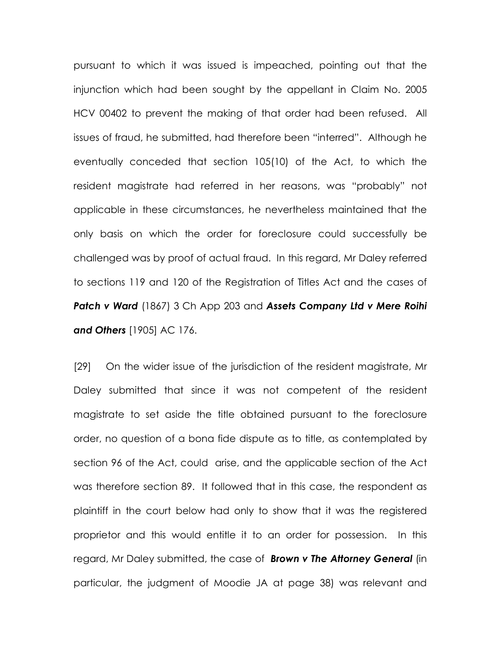pursuant to which it was issued is impeached, pointing out that the injunction which had been sought by the appellant in Claim No. 2005 HCV 00402 to prevent the making of that order had been refused. All issues of fraud, he submitted, had therefore been "interred". Although he eventually conceded that section 105(10) of the Act, to which the resident magistrate had referred in her reasons, was "probably" not applicable in these circumstances, he nevertheless maintained that the only basis on which the order for foreclosure could successfully be challenged was by proof of actual fraud. In this regard, Mr Daley referred to sections 119 and 120 of the Registration of Titles Act and the cases of Patch v Ward (1867) 3 Ch App 203 and Assets Company Ltd v Mere Roihi and Others [1905] AC 176.

[29] On the wider issue of the jurisdiction of the resident magistrate, Mr Daley submitted that since it was not competent of the resident magistrate to set aside the title obtained pursuant to the foreclosure order, no question of a bona fide dispute as to title, as contemplated by section 96 of the Act, could arise, and the applicable section of the Act was therefore section 89. It followed that in this case, the respondent as plaintiff in the court below had only to show that it was the registered proprietor and this would entitle it to an order for possession. In this regard, Mr Daley submitted, the case of **Brown v The Attorney General** (in particular, the judgment of Moodie JA at page 38) was relevant and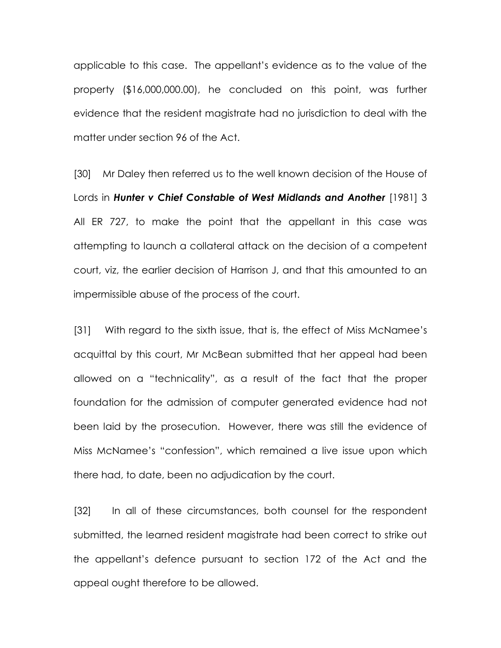applicable to this case. The appellant's evidence as to the value of the property (\$16,000,000.00), he concluded on this point, was further evidence that the resident magistrate had no jurisdiction to deal with the matter under section 96 of the Act.

[30] Mr Daley then referred us to the well known decision of the House of Lords in Hunter v Chief Constable of West Midlands and Another [1981] 3 All ER 727, to make the point that the appellant in this case was attempting to launch a collateral attack on the decision of a competent court, viz, the earlier decision of Harrison J, and that this amounted to an impermissible abuse of the process of the court.

[31] With regard to the sixth issue, that is, the effect of Miss McNamee's acquittal by this court, Mr McBean submitted that her appeal had been allowed on a "technicality", as a result of the fact that the proper foundation for the admission of computer generated evidence had not been laid by the prosecution. However, there was still the evidence of Miss McNamee's "confession", which remained a live issue upon which there had, to date, been no adjudication by the court.

[32] In all of these circumstances, both counsel for the respondent submitted, the learned resident magistrate had been correct to strike out the appellant's defence pursuant to section 172 of the Act and the appeal ought therefore to be allowed.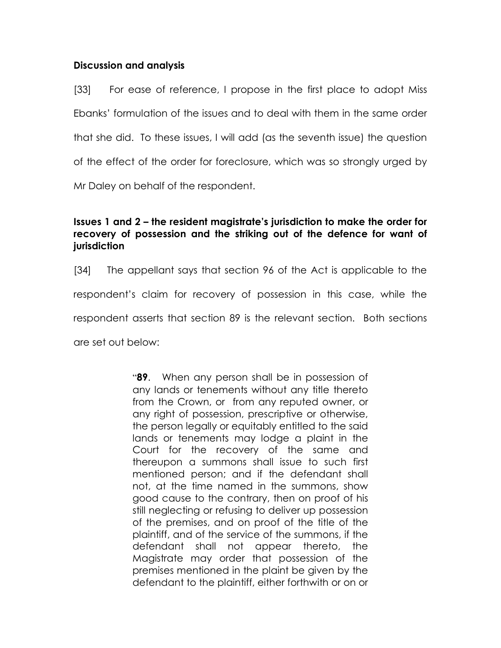### Discussion and analysis

[33] For ease of reference, I propose in the first place to adopt Miss Ebanks' formulation of the issues and to deal with them in the same order that she did. To these issues, I will add (as the seventh issue) the question of the effect of the order for foreclosure, which was so strongly urged by Mr Daley on behalf of the respondent.

## Issues 1 and 2 – the resident magistrate's jurisdiction to make the order for recovery of possession and the striking out of the defence for want of jurisdiction

[34] The appellant says that section 96 of the Act is applicable to the respondent's claim for recovery of possession in this case, while the respondent asserts that section 89 is the relevant section. Both sections are set out below:

> **89.** When any person shall be in possession of any lands or tenements without any title thereto from the Crown, or from any reputed owner, or any right of possession, prescriptive or otherwise, the person legally or equitably entitled to the said lands or tenements may lodge a plaint in the Court for the recovery of the same and thereupon a summons shall issue to such first mentioned person; and if the defendant shall not, at the time named in the summons, show good cause to the contrary, then on proof of his still neglecting or refusing to deliver up possession of the premises, and on proof of the title of the plaintiff, and of the service of the summons, if the defendant shall not appear thereto, the Magistrate may order that possession of the premises mentioned in the plaint be given by the defendant to the plaintiff, either forthwith or on or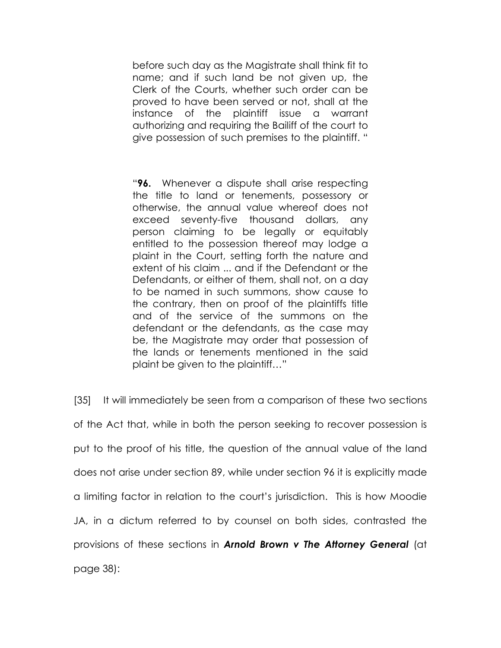before such day as the Magistrate shall think fit to name; and if such land be not given up, the Clerk of the Courts, whether such order can be proved to have been served or not, shall at the instance of the plaintiff issue a warrant authorizing and requiring the Bailiff of the court to give possession of such premises to the plaintiff. "

"96. Whenever a dispute shall arise respecting the title to land or tenements, possessory or otherwise, the annual value whereof does not exceed seventy-five thousand dollars, any person claiming to be legally or equitably entitled to the possession thereof may lodge a plaint in the Court, setting forth the nature and extent of his claim ... and if the Defendant or the Defendants, or either of them, shall not, on a day to be named in such summons, show cause to the contrary, then on proof of the plaintiffs title and of the service of the summons on the defendant or the defendants, as the case may be, the Magistrate may order that possession of the lands or tenements mentioned in the said plaint be given to the plaintiff…"

[35] It will immediately be seen from a comparison of these two sections of the Act that, while in both the person seeking to recover possession is put to the proof of his title, the question of the annual value of the land does not arise under section 89, while under section 96 it is explicitly made a limiting factor in relation to the court's jurisdiction. This is how Moodie JA, in a dictum referred to by counsel on both sides, contrasted the provisions of these sections in **Arnold Brown v The Attorney General** (at page 38):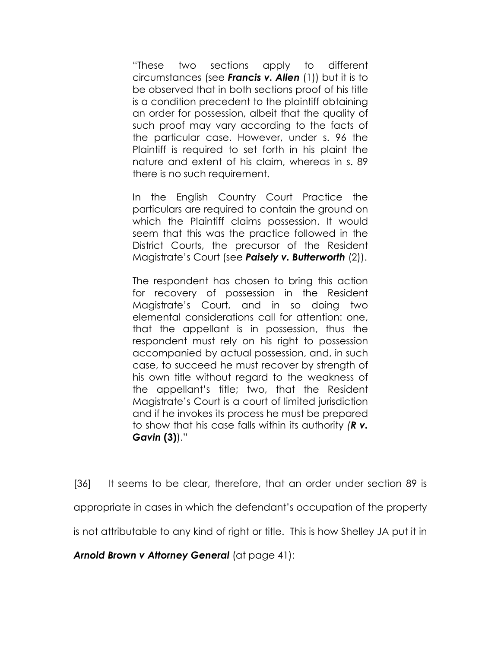"These two sections apply to different circumstances (see Francis v. Allen (1)) but it is to be observed that in both sections proof of his title is a condition precedent to the plaintiff obtaining an order for possession, albeit that the quality of such proof may vary according to the facts of the particular case. However, under s. 96 the Plaintiff is required to set forth in his plaint the nature and extent of his claim, whereas in s. 89 there is no such requirement.

In the English Country Court Practice the particulars are required to contain the ground on which the Plaintiff claims possession. It would seem that this was the practice followed in the District Courts, the precursor of the Resident Magistrate's Court (see **Paisely v. Butterworth** (2)).

The respondent has chosen to bring this action for recovery of possession in the Resident Magistrate's Court, and in so doing two elemental considerations call for attention: one, that the appellant is in possession, thus the respondent must rely on his right to possession accompanied by actual possession, and, in such case, to succeed he must recover by strength of his own title without regard to the weakness of the appellant's title; two, that the Resident Magistrate's Court is a court of limited jurisdiction and if he invokes its process he must be prepared to show that his case falls within its authority  $(R \, v.$ Gavin (3))."

[36] It seems to be clear, therefore, that an order under section 89 is appropriate in cases in which the defendant's occupation of the property is not attributable to any kind of right or title. This is how Shelley JA put it in

Arnold Brown v Attorney General (at page 41):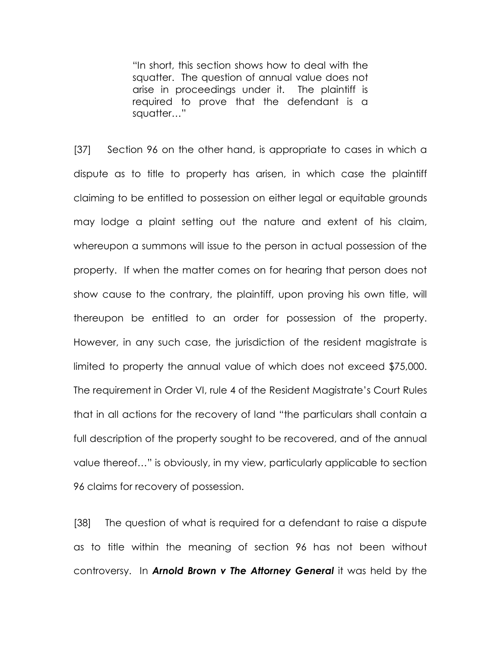"In short, this section shows how to deal with the squatter. The question of annual value does not arise in proceedings under it. The plaintiff is required to prove that the defendant is a squatter…"

[37] Section 96 on the other hand, is appropriate to cases in which a dispute as to title to property has arisen, in which case the plaintiff claiming to be entitled to possession on either legal or equitable grounds may lodge a plaint setting out the nature and extent of his claim, whereupon a summons will issue to the person in actual possession of the property. If when the matter comes on for hearing that person does not show cause to the contrary, the plaintiff, upon proving his own title, will thereupon be entitled to an order for possession of the property. However, in any such case, the jurisdiction of the resident magistrate is limited to property the annual value of which does not exceed \$75,000. The requirement in Order VI, rule 4 of the Resident Magistrate's Court Rules that in all actions for the recovery of land "the particulars shall contain a full description of the property sought to be recovered, and of the annual value thereof…" is obviously, in my view, particularly applicable to section 96 claims for recovery of possession.

[38] The question of what is required for a defendant to raise a dispute as to title within the meaning of section 96 has not been without controversy. In **Arnold Brown v The Attorney General** it was held by the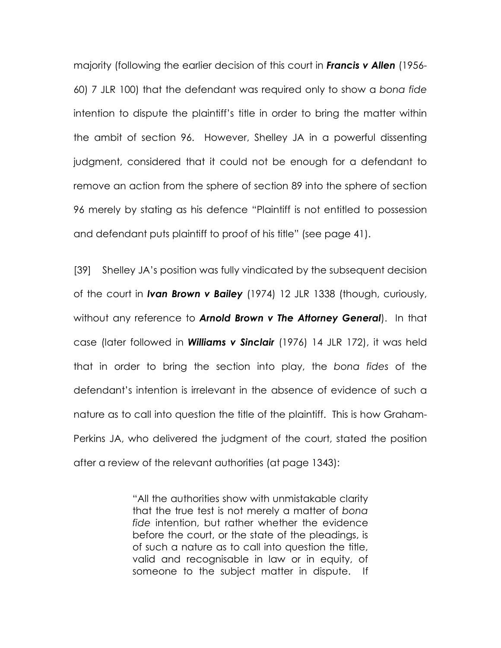majority (following the earlier decision of this court in **Francis v Allen** (1956-60) 7 JLR 100) that the defendant was required only to show a bona fide intention to dispute the plaintiff's title in order to bring the matter within the ambit of section 96. However, Shelley JA in a powerful dissenting judgment, considered that it could not be enough for a defendant to remove an action from the sphere of section 89 into the sphere of section 96 merely by stating as his defence "Plaintiff is not entitled to possession and defendant puts plaintiff to proof of his title" (see page 41).

[39] Shelley JA's position was fully vindicated by the subsequent decision of the court in Ivan Brown v Bailey (1974) 12 JLR 1338 (though, curiously, without any reference to **Arnold Brown v The Attorney General**). In that case (later followed in **Williams v Sinclair** (1976) 14 JLR 172), it was held that in order to bring the section into play, the bona fides of the defendant's intention is irrelevant in the absence of evidence of such a nature as to call into question the title of the plaintiff. This is how Graham-Perkins JA, who delivered the judgment of the court, stated the position after a review of the relevant authorities (at page 1343):

> "All the authorities show with unmistakable clarity that the true test is not merely a matter of bona fide intention, but rather whether the evidence before the court, or the state of the pleadings, is of such a nature as to call into question the title, valid and recognisable in law or in equity, of someone to the subject matter in dispute. If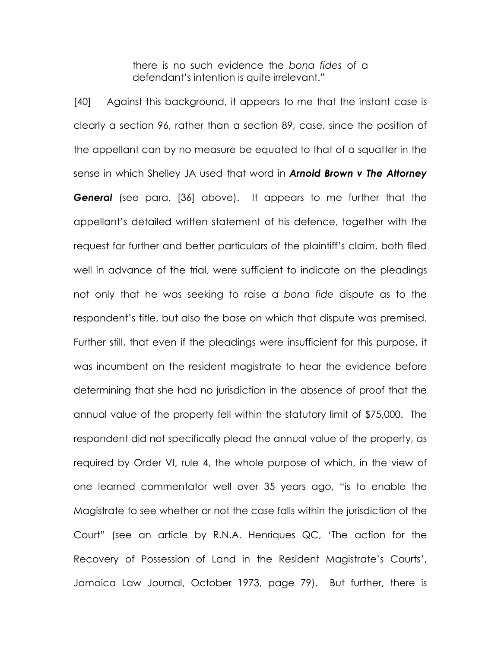there is no such evidence the bona fides of a defendant's intention is quite irrelevant."

[40] Against this background, it appears to me that the instant case is clearly a section 96, rather than a section 89, case, since the position of the appellant can by no measure be equated to that of a squatter in the sense in which Shelley JA used that word in **Arnold Brown v The Attorney General** (see para. [36] above). It appears to me further that the appellant's detailed written statement of his defence, together with the request for further and better particulars of the plaintiff's claim, both filed well in advance of the trial, were sufficient to indicate on the pleadings not only that he was seeking to raise a bona fide dispute as to the respondent's title, but also the base on which that dispute was premised. Further still, that even if the pleadings were insufficient for this purpose, it was incumbent on the resident magistrate to hear the evidence before determining that she had no jurisdiction in the absence of proof that the annual value of the property fell within the statutory limit of \$75,000. The respondent did not specifically plead the annual value of the property, as required by Order VI, rule 4, the whole purpose of which, in the view of one learned commentator well over 35 years ago, "is to enable the Magistrate to see whether or not the case falls within the jurisdiction of the Court" (see an article by R.N.A. Henriques QC, 'The action for the Recovery of Possession of Land in the Resident Magistrate's Courts', Jamaica Law Journal, October 1973, page 79). But further, there is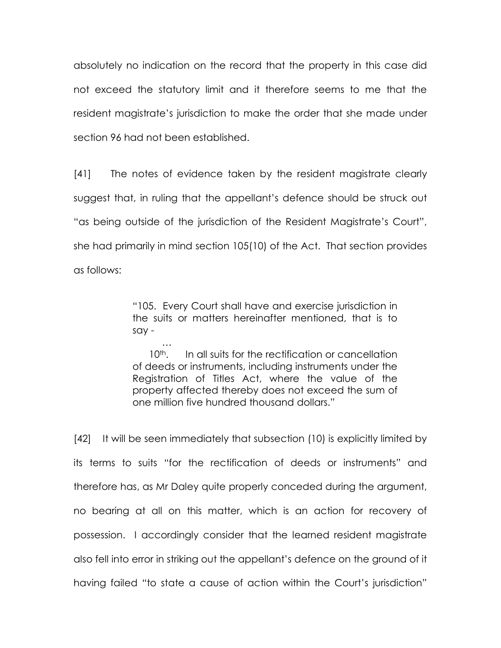absolutely no indication on the record that the property in this case did not exceed the statutory limit and it therefore seems to me that the resident magistrate's jurisdiction to make the order that she made under section 96 had not been established.

[41] The notes of evidence taken by the resident magistrate clearly suggest that, in ruling that the appellant's defence should be struck out "as being outside of the jurisdiction of the Resident Magistrate's Court", she had primarily in mind section 105(10) of the Act. That section provides as follows:

> "105. Every Court shall have and exercise jurisdiction in the suits or matters hereinafter mentioned, that is to say -

 … 10<sup>th</sup>. In all suits for the rectification or cancellation of deeds or instruments, including instruments under the Registration of Titles Act, where the value of the property affected thereby does not exceed the sum of one million five hundred thousand dollars."

[42] It will be seen immediately that subsection (10) is explicitly limited by its terms to suits "for the rectification of deeds or instruments" and therefore has, as Mr Daley quite properly conceded during the argument, no bearing at all on this matter, which is an action for recovery of possession. I accordingly consider that the learned resident magistrate also fell into error in striking out the appellant's defence on the ground of it having failed "to state a cause of action within the Court's jurisdiction"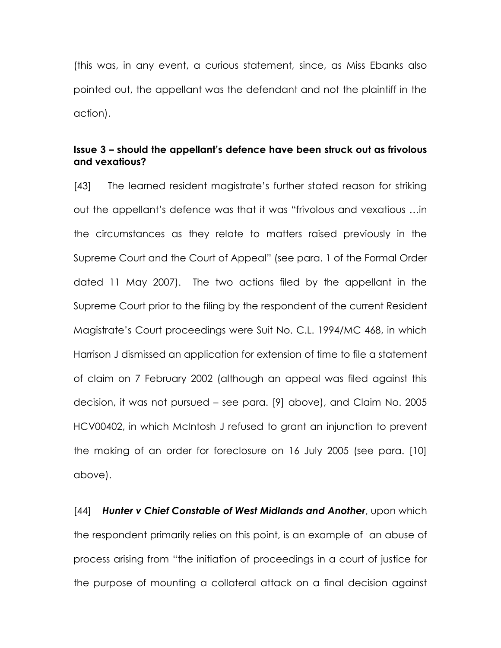(this was, in any event, a curious statement, since, as Miss Ebanks also pointed out, the appellant was the defendant and not the plaintiff in the action).

### Issue 3 – should the appellant's defence have been struck out as frivolous and vexatious?

[43] The learned resident magistrate's further stated reason for striking out the appellant's defence was that it was "frivolous and vexatious …in the circumstances as they relate to matters raised previously in the Supreme Court and the Court of Appeal" (see para. 1 of the Formal Order dated 11 May 2007). The two actions filed by the appellant in the Supreme Court prior to the filing by the respondent of the current Resident Magistrate's Court proceedings were Suit No. C.L. 1994/MC 468, in which Harrison J dismissed an application for extension of time to file a statement of claim on 7 February 2002 (although an appeal was filed against this decision, it was not pursued – see para. [9] above), and Claim No. 2005 HCV00402, in which McIntosh J refused to grant an injunction to prevent the making of an order for foreclosure on 16 July 2005 (see para. [10] above).

[44] Hunter v Chief Constable of West Midlands and Another, upon which the respondent primarily relies on this point, is an example of an abuse of process arising from "the initiation of proceedings in a court of justice for the purpose of mounting a collateral attack on a final decision against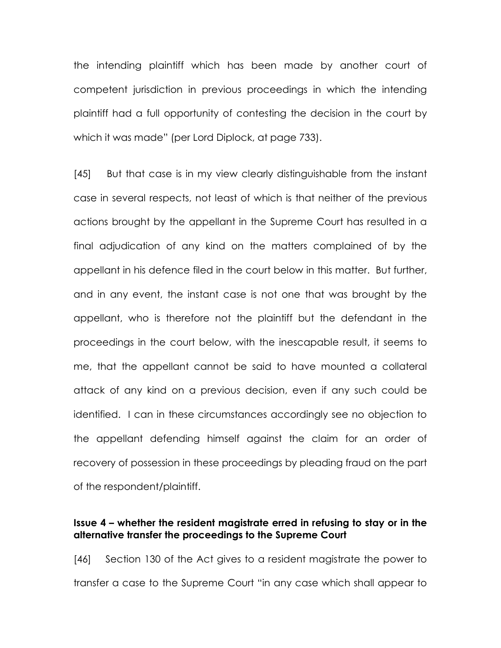the intending plaintiff which has been made by another court of competent jurisdiction in previous proceedings in which the intending plaintiff had a full opportunity of contesting the decision in the court by which it was made" (per Lord Diplock, at page 733).

[45] But that case is in my view clearly distinguishable from the instant case in several respects, not least of which is that neither of the previous actions brought by the appellant in the Supreme Court has resulted in a final adjudication of any kind on the matters complained of by the appellant in his defence filed in the court below in this matter. But further, and in any event, the instant case is not one that was brought by the appellant, who is therefore not the plaintiff but the defendant in the proceedings in the court below, with the inescapable result, it seems to me, that the appellant cannot be said to have mounted a collateral attack of any kind on a previous decision, even if any such could be identified. I can in these circumstances accordingly see no objection to the appellant defending himself against the claim for an order of recovery of possession in these proceedings by pleading fraud on the part of the respondent/plaintiff.

### Issue 4 – whether the resident magistrate erred in refusing to stay or in the alternative transfer the proceedings to the Supreme Court

[46] Section 130 of the Act gives to a resident magistrate the power to transfer a case to the Supreme Court "in any case which shall appear to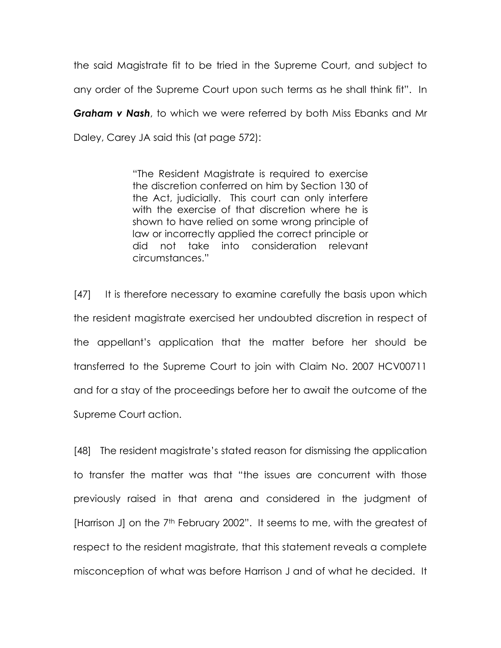the said Magistrate fit to be tried in the Supreme Court, and subject to any order of the Supreme Court upon such terms as he shall think fit". In **Graham v Nash**, to which we were referred by both Miss Ebanks and Mr Daley, Carey JA said this (at page 572):

> "The Resident Magistrate is required to exercise the discretion conferred on him by Section 130 of the Act, judicially. This court can only interfere with the exercise of that discretion where he is shown to have relied on some wrong principle of law or incorrectly applied the correct principle or did not take into consideration relevant circumstances."

[47] It is therefore necessary to examine carefully the basis upon which the resident magistrate exercised her undoubted discretion in respect of the appellant's application that the matter before her should be transferred to the Supreme Court to join with Claim No. 2007 HCV00711 and for a stay of the proceedings before her to await the outcome of the Supreme Court action.

[48] The resident magistrate's stated reason for dismissing the application to transfer the matter was that "the issues are concurrent with those previously raised in that arena and considered in the judgment of [Harrison J] on the 7<sup>th</sup> February 2002". It seems to me, with the greatest of respect to the resident magistrate, that this statement reveals a complete misconception of what was before Harrison J and of what he decided. It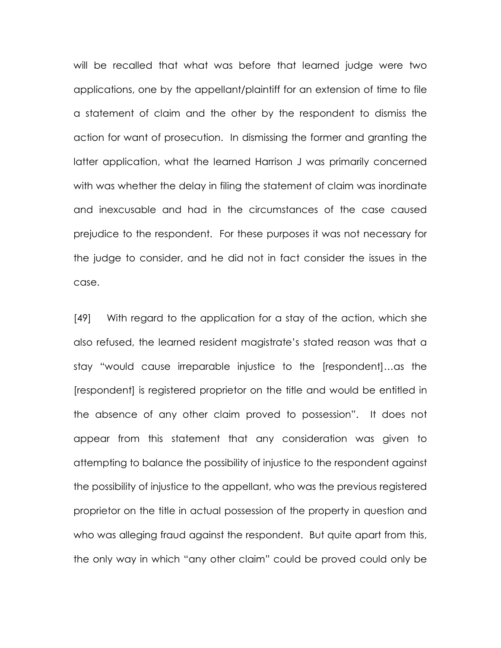will be recalled that what was before that learned judge were two applications, one by the appellant/plaintiff for an extension of time to file a statement of claim and the other by the respondent to dismiss the action for want of prosecution. In dismissing the former and granting the latter application, what the learned Harrison J was primarily concerned with was whether the delay in filing the statement of claim was inordinate and inexcusable and had in the circumstances of the case caused prejudice to the respondent. For these purposes it was not necessary for the judge to consider, and he did not in fact consider the issues in the case.

[49] With regard to the application for a stay of the action, which she also refused, the learned resident magistrate's stated reason was that a stay "would cause irreparable injustice to the [respondent]…as the [respondent] is registered proprietor on the title and would be entitled in the absence of any other claim proved to possession". It does not appear from this statement that any consideration was given to attempting to balance the possibility of injustice to the respondent against the possibility of injustice to the appellant, who was the previous registered proprietor on the title in actual possession of the property in question and who was alleging fraud against the respondent. But quite apart from this, the only way in which "any other claim" could be proved could only be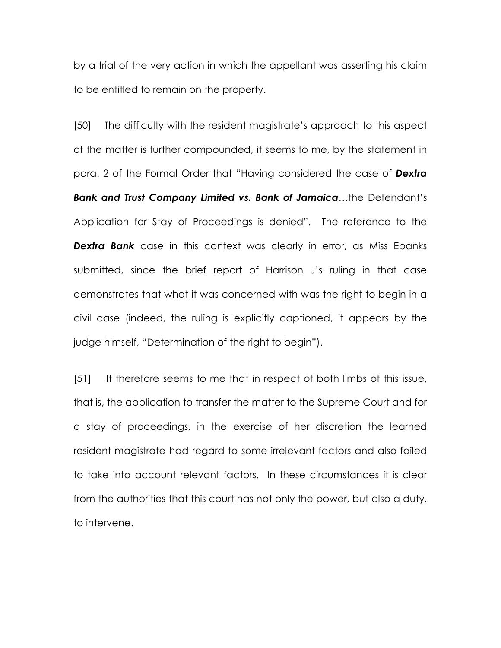by a trial of the very action in which the appellant was asserting his claim to be entitled to remain on the property.

[50] The difficulty with the resident magistrate's approach to this aspect of the matter is further compounded, it seems to me, by the statement in para. 2 of the Formal Order that "Having considered the case of Dextra Bank and Trust Company Limited vs. Bank of Jamaica...the Defendant's Application for Stay of Proceedings is denied". The reference to the **Dextra Bank** case in this context was clearly in error, as Miss Ebanks submitted, since the brief report of Harrison J's ruling in that case demonstrates that what it was concerned with was the right to begin in a civil case (indeed, the ruling is explicitly captioned, it appears by the judge himself, "Determination of the right to begin").

[51] It therefore seems to me that in respect of both limbs of this issue, that is, the application to transfer the matter to the Supreme Court and for a stay of proceedings, in the exercise of her discretion the learned resident magistrate had regard to some irrelevant factors and also failed to take into account relevant factors. In these circumstances it is clear from the authorities that this court has not only the power, but also a duty, to intervene.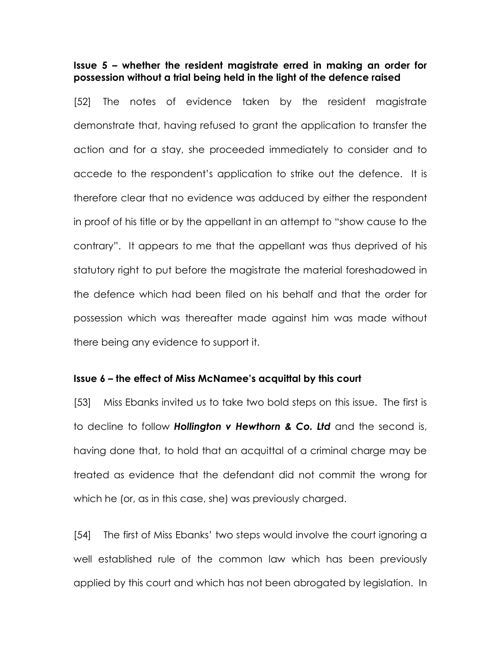### Issue 5 – whether the resident magistrate erred in making an order for possession without a trial being held in the light of the defence raised

[52] The notes of evidence taken by the resident magistrate demonstrate that, having refused to grant the application to transfer the action and for a stay, she proceeded immediately to consider and to accede to the respondent's application to strike out the defence. It is therefore clear that no evidence was adduced by either the respondent in proof of his title or by the appellant in an attempt to "show cause to the contrary". It appears to me that the appellant was thus deprived of his statutory right to put before the magistrate the material foreshadowed in the defence which had been filed on his behalf and that the order for possession which was thereafter made against him was made without there being any evidence to support it.

#### Issue 6 – the effect of Miss McNamee's acquittal by this court

[53] Miss Ebanks invited us to take two bold steps on this issue. The first is to decline to follow **Hollington v Hewthorn & Co. Ltd** and the second is, having done that, to hold that an acquittal of a criminal charge may be treated as evidence that the defendant did not commit the wrong for which he (or, as in this case, she) was previously charged.

[54] The first of Miss Ebanks' two steps would involve the court ignoring a well established rule of the common law which has been previously applied by this court and which has not been abrogated by legislation. In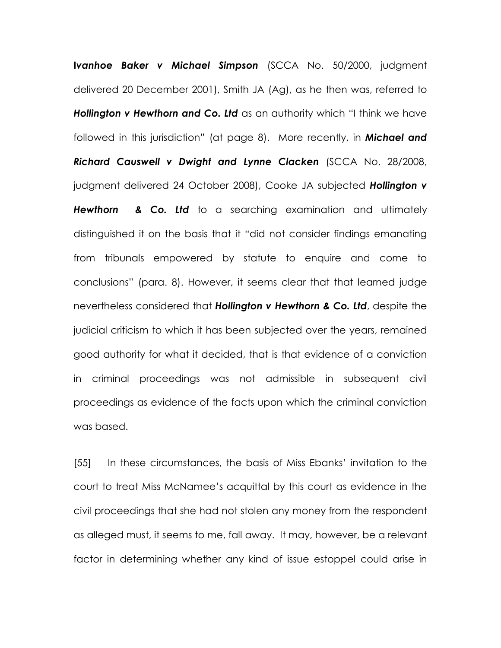Ivanhoe Baker v Michael Simpson (SCCA No. 50/2000, judgment delivered 20 December 2001), Smith JA (Ag), as he then was, referred to Hollington v Hewthorn and Co. Ltd as an authority which "I think we have followed in this jurisdiction" (at page 8). More recently, in **Michael and** Richard Causwell v Dwight and Lynne Clacken (SCCA No. 28/2008, judgment delivered 24 October 2008), Cooke JA subjected **Hollington v** Hewthorn & Co. Ltd to a searching examination and ultimately distinguished it on the basis that it "did not consider findings emanating from tribunals empowered by statute to enquire and come to conclusions" (para. 8). However, it seems clear that that learned judge nevertheless considered that Hollington v Hewthorn & Co. Ltd, despite the judicial criticism to which it has been subjected over the years, remained good authority for what it decided, that is that evidence of a conviction in criminal proceedings was not admissible in subsequent civil proceedings as evidence of the facts upon which the criminal conviction was based.

[55] In these circumstances, the basis of Miss Ebanks' invitation to the court to treat Miss McNamee's acquittal by this court as evidence in the civil proceedings that she had not stolen any money from the respondent as alleged must, it seems to me, fall away. It may, however, be a relevant factor in determining whether any kind of issue estoppel could arise in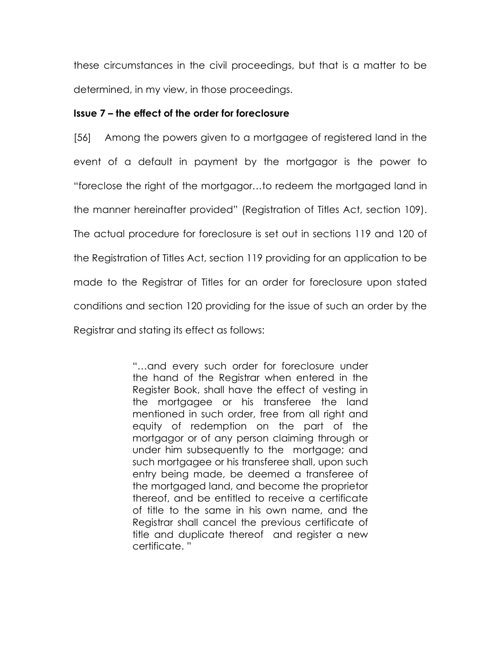these circumstances in the civil proceedings, but that is a matter to be determined, in my view, in those proceedings.

### Issue 7 – the effect of the order for foreclosure

[56] Among the powers given to a mortgagee of registered land in the event of a default in payment by the mortgagor is the power to "foreclose the right of the mortgagor…to redeem the mortgaged land in the manner hereinafter provided" (Registration of Titles Act, section 109). The actual procedure for foreclosure is set out in sections 119 and 120 of the Registration of Titles Act, section 119 providing for an application to be made to the Registrar of Titles for an order for foreclosure upon stated conditions and section 120 providing for the issue of such an order by the Registrar and stating its effect as follows:

> "…and every such order for foreclosure under the hand of the Registrar when entered in the Register Book, shall have the effect of vesting in the mortgagee or his transferee the land mentioned in such order, free from all right and equity of redemption on the part of the mortgagor or of any person claiming through or under him subsequently to the mortgage; and such mortgagee or his transferee shall, upon such entry being made, be deemed a transferee of the mortgaged land, and become the proprietor thereof, and be entitled to receive a certificate of title to the same in his own name, and the Registrar shall cancel the previous certificate of title and duplicate thereof and register a new certificate. "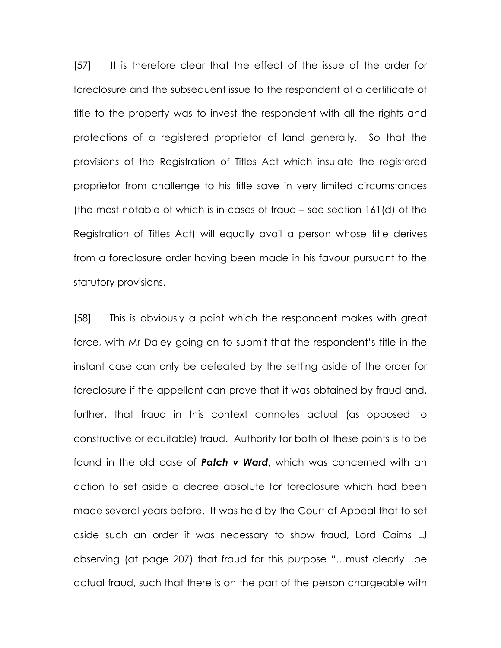[57] It is therefore clear that the effect of the issue of the order for foreclosure and the subsequent issue to the respondent of a certificate of title to the property was to invest the respondent with all the rights and protections of a registered proprietor of land generally. So that the provisions of the Registration of Titles Act which insulate the registered proprietor from challenge to his title save in very limited circumstances (the most notable of which is in cases of fraud – see section 161(d) of the Registration of Titles Act) will equally avail a person whose title derives from a foreclosure order having been made in his favour pursuant to the statutory provisions.

[58] This is obviously a point which the respondent makes with great force, with Mr Daley going on to submit that the respondent's title in the instant case can only be defeated by the setting aside of the order for foreclosure if the appellant can prove that it was obtained by fraud and, further, that fraud in this context connotes actual (as opposed to constructive or equitable) fraud. Authority for both of these points is to be found in the old case of **Patch v Ward**, which was concerned with an action to set aside a decree absolute for foreclosure which had been made several years before. It was held by the Court of Appeal that to set aside such an order it was necessary to show fraud, Lord Cairns LJ observing (at page 207) that fraud for this purpose "…must clearly…be actual fraud, such that there is on the part of the person chargeable with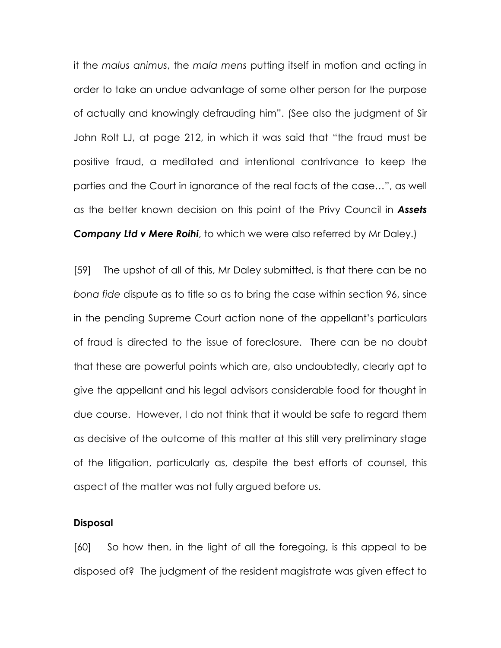it the malus animus, the mala mens putting itself in motion and acting in order to take an undue advantage of some other person for the purpose of actually and knowingly defrauding him". (See also the judgment of Sir John Rolt LJ, at page 212, in which it was said that "the fraud must be positive fraud, a meditated and intentional contrivance to keep the parties and the Court in ignorance of the real facts of the case…", as well as the better known decision on this point of the Privy Council in **Assets Company Ltd v Mere Roihi**, to which we were also referred by Mr Daley.)

[59] The upshot of all of this, Mr Daley submitted, is that there can be no bona fide dispute as to title so as to bring the case within section 96, since in the pending Supreme Court action none of the appellant's particulars of fraud is directed to the issue of foreclosure. There can be no doubt that these are powerful points which are, also undoubtedly, clearly apt to give the appellant and his legal advisors considerable food for thought in due course. However, I do not think that it would be safe to regard them as decisive of the outcome of this matter at this still very preliminary stage of the litigation, particularly as, despite the best efforts of counsel, this aspect of the matter was not fully argued before us.

#### **Disposal**

[60] So how then, in the light of all the foregoing, is this appeal to be disposed of? The judgment of the resident magistrate was given effect to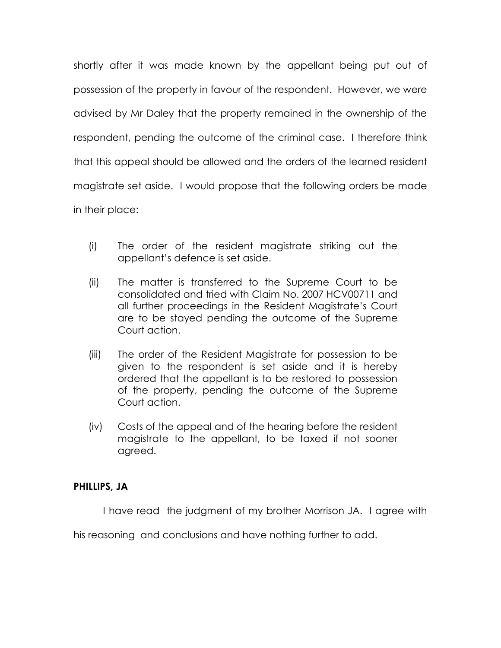shortly after it was made known by the appellant being put out of possession of the property in favour of the respondent. However, we were advised by Mr Daley that the property remained in the ownership of the respondent, pending the outcome of the criminal case. I therefore think that this appeal should be allowed and the orders of the learned resident magistrate set aside. I would propose that the following orders be made in their place:

- (i) The order of the resident magistrate striking out the appellant's defence is set aside.
- (ii) The matter is transferred to the Supreme Court to be consolidated and tried with Claim No. 2007 HCV00711 and all further proceedings in the Resident Magistrate's Court are to be stayed pending the outcome of the Supreme Court action.
- (iii) The order of the Resident Magistrate for possession to be given to the respondent is set aside and it is hereby ordered that the appellant is to be restored to possession of the property, pending the outcome of the Supreme Court action.
- (iv) Costs of the appeal and of the hearing before the resident magistrate to the appellant, to be taxed if not sooner agreed.

## PHILLIPS, JA

I have read the judgment of my brother Morrison JA. I agree with

his reasoning and conclusions and have nothing further to add.